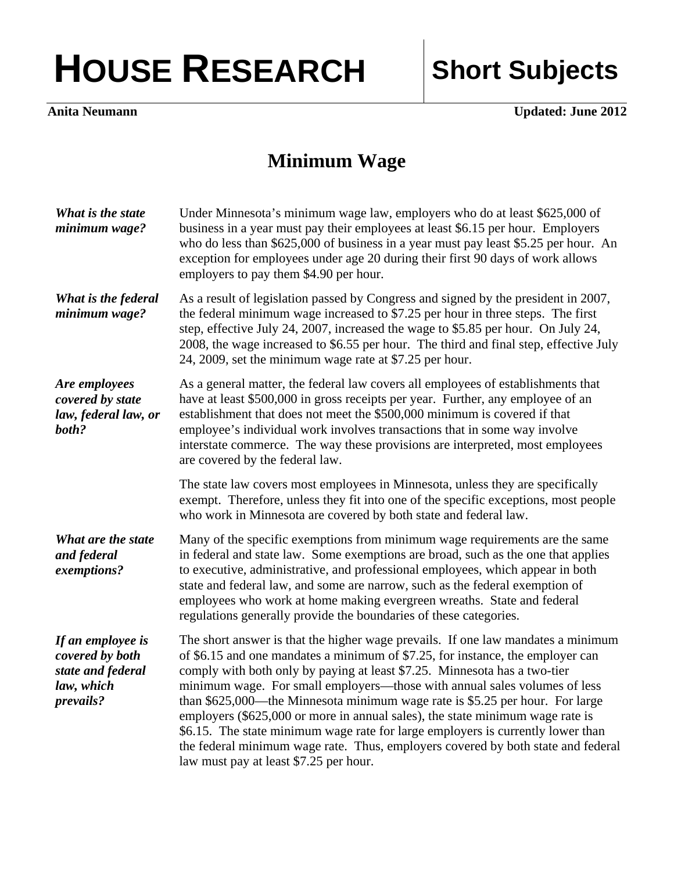## HOUSE RESEARCH Short Subjects

**Anita Neumann** Updated: June 2012

## **Minimum Wage**

| What is the state<br>minimum wage?                                                   | Under Minnesota's minimum wage law, employers who do at least \$625,000 of<br>business in a year must pay their employees at least \$6.15 per hour. Employers<br>who do less than \$625,000 of business in a year must pay least \$5.25 per hour. An<br>exception for employees under age 20 during their first 90 days of work allows<br>employers to pay them \$4.90 per hour.                                                                                                                                                                                                                                                                                                                               |
|--------------------------------------------------------------------------------------|----------------------------------------------------------------------------------------------------------------------------------------------------------------------------------------------------------------------------------------------------------------------------------------------------------------------------------------------------------------------------------------------------------------------------------------------------------------------------------------------------------------------------------------------------------------------------------------------------------------------------------------------------------------------------------------------------------------|
| What is the federal<br>minimum wage?                                                 | As a result of legislation passed by Congress and signed by the president in 2007,<br>the federal minimum wage increased to \$7.25 per hour in three steps. The first<br>step, effective July 24, 2007, increased the wage to \$5.85 per hour. On July 24,<br>2008, the wage increased to \$6.55 per hour. The third and final step, effective July<br>24, 2009, set the minimum wage rate at \$7.25 per hour.                                                                                                                                                                                                                                                                                                 |
| Are employees<br>covered by state<br>law, federal law, or<br>both?                   | As a general matter, the federal law covers all employees of establishments that<br>have at least \$500,000 in gross receipts per year. Further, any employee of an<br>establishment that does not meet the \$500,000 minimum is covered if that<br>employee's individual work involves transactions that in some way involve<br>interstate commerce. The way these provisions are interpreted, most employees<br>are covered by the federal law.                                                                                                                                                                                                                                                              |
|                                                                                      | The state law covers most employees in Minnesota, unless they are specifically<br>exempt. Therefore, unless they fit into one of the specific exceptions, most people<br>who work in Minnesota are covered by both state and federal law.                                                                                                                                                                                                                                                                                                                                                                                                                                                                      |
| What are the state<br>and federal<br>exemptions?                                     | Many of the specific exemptions from minimum wage requirements are the same<br>in federal and state law. Some exemptions are broad, such as the one that applies<br>to executive, administrative, and professional employees, which appear in both<br>state and federal law, and some are narrow, such as the federal exemption of<br>employees who work at home making evergreen wreaths. State and federal<br>regulations generally provide the boundaries of these categories.                                                                                                                                                                                                                              |
| If an employee is<br>covered by both<br>state and federal<br>law, which<br>prevails? | The short answer is that the higher wage prevails. If one law mandates a minimum<br>of \$6.15 and one mandates a minimum of \$7.25, for instance, the employer can<br>comply with both only by paying at least \$7.25. Minnesota has a two-tier<br>minimum wage. For small employers—those with annual sales volumes of less<br>than \$625,000—the Minnesota minimum wage rate is \$5.25 per hour. For large<br>employers (\$625,000 or more in annual sales), the state minimum wage rate is<br>\$6.15. The state minimum wage rate for large employers is currently lower than<br>the federal minimum wage rate. Thus, employers covered by both state and federal<br>law must pay at least \$7.25 per hour. |